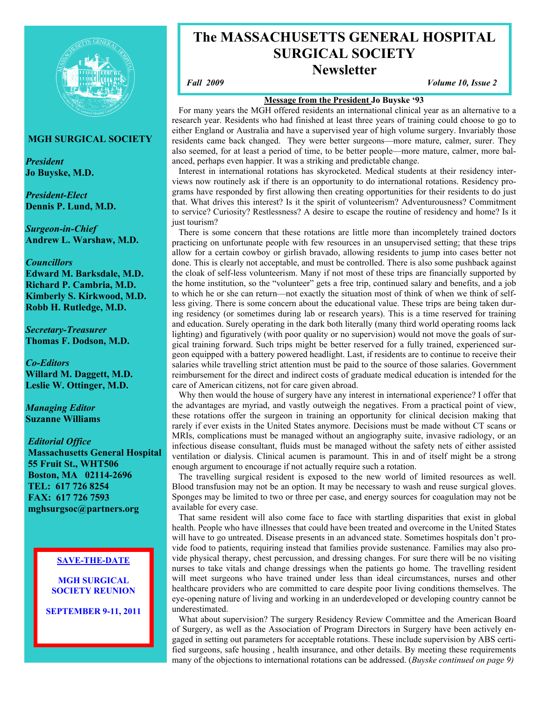

# **MGH SURGICAL SOCIETY**

*President*  **Jo Buyske, M.D.** 

*President-Elect*  **Dennis P. Lund, M.D.** 

*Surgeon-in-Chief*  **Andrew L. Warshaw, M.D.** 

## *Councillors*

**Edward M. Barksdale, M.D. Richard P. Cambria, M.D. Kimberly S. Kirkwood, M.D. Robb H. Rutledge, M.D.** 

*Secretary-Treasurer*  **Thomas F. Dodson, M.D.** 

*Co-Editors*  **Willard M. Daggett, M.D. Leslie W. Ottinger, M.D.** 

*Managing Editor*  **Suzanne Williams** 

# *Editorial Office*

 **Massachusetts General Hospital 55 Fruit St., WHT506 Boston, MA 02114-2696 TEL: 617 726 8254 FAX: 617 726 7593 mghsurgsoc@partners.org** 

# **SAVE-THE-DATE**

**MGH SURGICAL SOCIETY REUNION** 

**SEPTEMBER 9-11, 2011** 

# **The MASSACHUSETTS GENERAL HOSPITAL SURGICAL SOCIETY Newsletter**

*Fall 2009 Volume 10, Issue 2* 

# **Message from the President Jo Buyske '93**

 For many years the MGH offered residents an international clinical year as an alternative to a research year. Residents who had finished at least three years of training could choose to go to either England or Australia and have a supervised year of high volume surgery. Invariably those residents came back changed. They were better surgeons—more mature, calmer, surer. They also seemed, for at least a period of time, to be better people—more mature, calmer, more balanced, perhaps even happier. It was a striking and predictable change.

 Interest in international rotations has skyrocketed. Medical students at their residency interviews now routinely ask if there is an opportunity to do international rotations. Residency programs have responded by first allowing then creating opportunities for their residents to do just that. What drives this interest? Is it the spirit of volunteerism? Adventurousness? Commitment to service? Curiosity? Restlessness? A desire to escape the routine of residency and home? Is it just tourism?

 There is some concern that these rotations are little more than incompletely trained doctors practicing on unfortunate people with few resources in an unsupervised setting; that these trips allow for a certain cowboy or girlish bravado, allowing residents to jump into cases better not done. This is clearly not acceptable, and must be controlled. There is also some pushback against the cloak of self-less volunteerism. Many if not most of these trips are financially supported by the home institution, so the "volunteer" gets a free trip, continued salary and benefits, and a job to which he or she can return—not exactly the situation most of think of when we think of selfless giving. There is some concern about the educational value. These trips are being taken during residency (or sometimes during lab or research years). This is a time reserved for training and education. Surely operating in the dark both literally (many third world operating rooms lack lighting) and figuratively (with poor quality or no supervision) would not move the goals of surgical training forward. Such trips might be better reserved for a fully trained, experienced surgeon equipped with a battery powered headlight. Last, if residents are to continue to receive their salaries while travelling strict attention must be paid to the source of those salaries. Government reimbursement for the direct and indirect costs of graduate medical education is intended for the care of American citizens, not for care given abroad.

 Why then would the house of surgery have any interest in international experience? I offer that the advantages are myriad, and vastly outweigh the negatives. From a practical point of view, these rotations offer the surgeon in training an opportunity for clinical decision making that rarely if ever exists in the United States anymore. Decisions must be made without CT scans or MRIs, complications must be managed without an angiography suite, invasive radiology, or an infectious disease consultant, fluids must be managed without the safety nets of either assisted ventilation or dialysis. Clinical acumen is paramount. This in and of itself might be a strong enough argument to encourage if not actually require such a rotation.

 The travelling surgical resident is exposed to the new world of limited resources as well. Blood transfusion may not be an option. It may be necessary to wash and reuse surgical gloves. Sponges may be limited to two or three per case, and energy sources for coagulation may not be available for every case.

 That same resident will also come face to face with startling disparities that exist in global health. People who have illnesses that could have been treated and overcome in the United States will have to go untreated. Disease presents in an advanced state. Sometimes hospitals don't provide food to patients, requiring instead that families provide sustenance. Families may also provide physical therapy, chest percussion, and dressing changes. For sure there will be no visiting nurses to take vitals and change dressings when the patients go home. The travelling resident will meet surgeons who have trained under less than ideal circumstances, nurses and other healthcare providers who are committed to care despite poor living conditions themselves. The eye-opening nature of living and working in an underdeveloped or developing country cannot be underestimated.

 What about supervision? The surgery Residency Review Committee and the American Board of Surgery, as well as the Association of Program Directors in Surgery have been actively engaged in setting out parameters for acceptable rotations. These include supervision by ABS certified surgeons, safe housing , health insurance, and other details. By meeting these requirements many of the objections to international rotations can be addressed. (*Buyske continued on page 9)*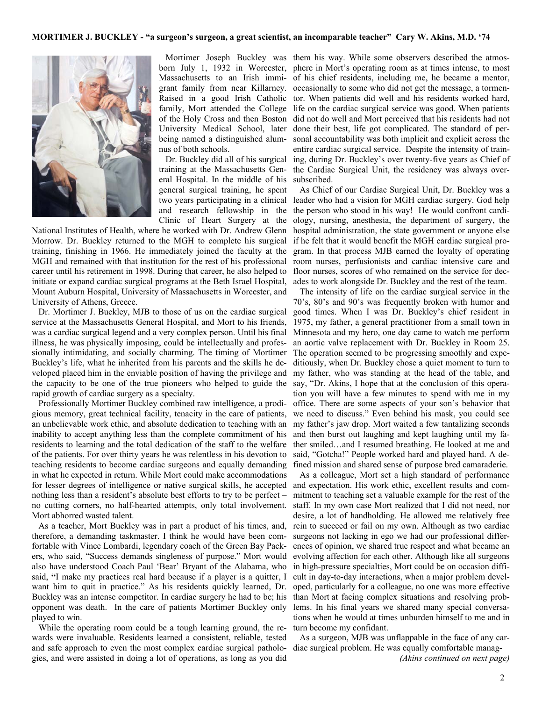#### **MORTIMER J. BUCKLEY - "a surgeon's surgeon, a great scientist, an incomparable teacher" Cary W. Akins, M.D. '74**



nus of both schools.

 Dr. Buckley did all of his surgical training at the Massachusetts General Hospital. In the middle of his general surgical training, he spent two years participating in a clinical and research fellowship in the Clinic of Heart Surgery at the

National Institutes of Health, where he worked with Dr. Andrew Glenn Morrow. Dr. Buckley returned to the MGH to complete his surgical training, finishing in 1966. He immediately joined the faculty at the MGH and remained with that institution for the rest of his professional career until his retirement in 1998. During that career, he also helped to initiate or expand cardiac surgical programs at the Beth Israel Hospital, Mount Auburn Hospital, University of Massachusetts in Worcester, and University of Athens, Greece.

 Dr. Mortimer J. Buckley, MJB to those of us on the cardiac surgical service at the Massachusetts General Hospital, and Mort to his friends, was a cardiac surgical legend and a very complex person. Until his final illness, he was physically imposing, could be intellectually and professionally intimidating, and socially charming. The timing of Mortimer Buckley's life, what he inherited from his parents and the skills he developed placed him in the enviable position of having the privilege and the capacity to be one of the true pioneers who helped to guide the rapid growth of cardiac surgery as a specialty.

 Professionally Mortimer Buckley combined raw intelligence, a prodigious memory, great technical facility, tenacity in the care of patients, an unbelievable work ethic, and absolute dedication to teaching with an inability to accept anything less than the complete commitment of his residents to learning and the total dedication of the staff to the welfare of the patients. For over thirty years he was relentless in his devotion to teaching residents to become cardiac surgeons and equally demanding in what he expected in return. While Mort could make accommodations for lesser degrees of intelligence or native surgical skills, he accepted nothing less than a resident's absolute best efforts to try to be perfect – no cutting corners, no half-hearted attempts, only total involvement. Mort abhorred wasted talent.

 As a teacher, Mort Buckley was in part a product of his times, and, therefore, a demanding taskmaster. I think he would have been comfortable with Vince Lombardi, legendary coach of the Green Bay Packers, who said, "Success demands singleness of purpose." Mort would also have understood Coach Paul 'Bear' Bryant of the Alabama, who said, **"**I make my practices real hard because if a player is a quitter, I want him to quit in practice." As his residents quickly learned, Dr. Buckley was an intense competitor. In cardiac surgery he had to be; his opponent was death. In the care of patients Mortimer Buckley only played to win.

 While the operating room could be a tough learning ground, the rewards were invaluable. Residents learned a consistent, reliable, tested and safe approach to even the most complex cardiac surgical pathologies, and were assisted in doing a lot of operations, as long as you did

 Mortimer Joseph Buckley was them his way. While some observers described the atmosborn July 1, 1932 in Worcester, phere in Mort's operating room as at times intense, to most Massachusetts to an Irish immi-of his chief residents, including me, he became a mentor, grant family from near Killarney. occasionally to some who did not get the message, a tormen-Raised in a good Irish Catholic tor. When patients did well and his residents worked hard, family, Mort attended the College life on the cardiac surgical service was good. When patients of the Holy Cross and then Boston did not do well and Mort perceived that his residents had not University Medical School, later done their best, life got complicated. The standard of perbeing named a distinguished alum-sonal accountability was both implicit and explicit across the entire cardiac surgical service. Despite the intensity of training, during Dr. Buckley's over twenty-five years as Chief of the Cardiac Surgical Unit, the residency was always oversubscribed.

> As Chief of our Cardiac Surgical Unit, Dr. Buckley was a leader who had a vision for MGH cardiac surgery. God help the person who stood in his way! He would confront cardiology, nursing, anesthesia, the department of surgery, the hospital administration, the state government or anyone else if he felt that it would benefit the MGH cardiac surgical program. In that process MJB earned the loyalty of operating room nurses, perfusionists and cardiac intensive care and floor nurses, scores of who remained on the service for decades to work alongside Dr. Buckley and the rest of the team.

> The intensity of life on the cardiac surgical service in the 70's, 80's and 90's was frequently broken with humor and good times. When I was Dr. Buckley's chief resident in 1975, my father, a general practitioner from a small town in Minnesota and my hero, one day came to watch me perform an aortic valve replacement with Dr. Buckley in Room 25. The operation seemed to be progressing smoothly and expeditiously, when Dr. Buckley chose a quiet moment to turn to my father, who was standing at the head of the table, and say, "Dr. Akins, I hope that at the conclusion of this operation you will have a few minutes to spend with me in my office. There are some aspects of your son's behavior that we need to discuss." Even behind his mask, you could see my father's jaw drop. Mort waited a few tantalizing seconds and then burst out laughing and kept laughing until my father smiled…and I resumed breathing. He looked at me and said, "Gotcha!" People worked hard and played hard. A defined mission and shared sense of purpose bred camaraderie.

> As a colleague, Mort set a high standard of performance and expectation. His work ethic, excellent results and commitment to teaching set a valuable example for the rest of the staff. In my own case Mort realized that I did not need, nor desire, a lot of handholding. He allowed me relatively free rein to succeed or fail on my own. Although as two cardiac surgeons not lacking in ego we had our professional differences of opinion, we shared true respect and what became an evolving affection for each other. Although like all surgeons in high-pressure specialties, Mort could be on occasion difficult in day-to-day interactions, when a major problem developed, particularly for a colleague, no one was more effective than Mort at facing complex situations and resolving problems. In his final years we shared many special conversations when he would at times unburden himself to me and in turn become my confidant.

> As a surgeon, MJB was unflappable in the face of any cardiac surgical problem. He was equally comfortable manag-

> > *(Akins continued on next page)*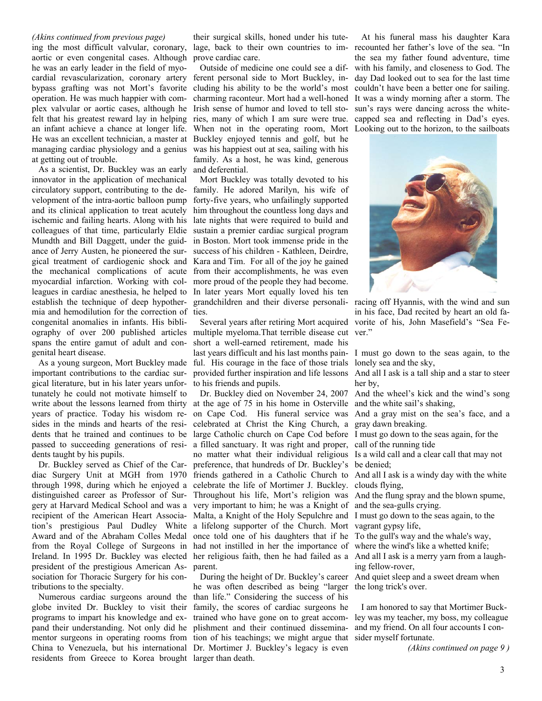## *(Akins continued from previous page)*

ing the most difficult valvular, coronary, aortic or even congenital cases. Although he was an early leader in the field of myocardial revascularization, coronary artery bypass grafting was not Mort's favorite operation. He was much happier with complex valvular or aortic cases, although he felt that his greatest reward lay in helping an infant achieve a chance at longer life. He was an excellent technician, a master at managing cardiac physiology and a genius at getting out of trouble.

 As a scientist, Dr. Buckley was an early innovator in the application of mechanical circulatory support, contributing to the development of the intra-aortic balloon pump and its clinical application to treat acutely ischemic and failing hearts. Along with his colleagues of that time, particularly Eldie Mundth and Bill Daggett, under the guidance of Jerry Austen, he pioneered the surgical treatment of cardiogenic shock and the mechanical complications of acute myocardial infarction. Working with colleagues in cardiac anesthesia, he helped to establish the technique of deep hypothermia and hemodilution for the correction of ties. congenital anomalies in infants. His bibliography of over 200 published articles multiple myeloma.That terrible disease cut ver." spans the entire gamut of adult and congenital heart disease.

 As a young surgeon, Mort Buckley made important contributions to the cardiac surgical literature, but in his later years unfortunately he could not motivate himself to years of practice. Today his wisdom resides in the minds and hearts of the residents that he trained and continues to be passed to succeeding generations of residents taught by his pupils.

 Dr. Buckley served as Chief of the Cardistinguished career as Professor of Surrecipient of the American Heart Associa-Award and of the Abraham Colles Medal from the Royal College of Surgeons in Ireland. In 1995 Dr. Buckley was elected president of the prestigious American Association for Thoracic Surgery for his contributions to the specialty.

globe invited Dr. Buckley to visit their programs to impart his knowledge and expand their understanding. Not only did he plishment and their continued disseminaresidents from Greece to Korea brought larger than death.

their surgical skills, honed under his tutelage, back to their own countries to improve cardiac care.

 Outside of medicine one could see a different personal side to Mort Buckley, including his ability to be the world's most charming raconteur. Mort had a well-honed Irish sense of humor and loved to tell stories, many of which I am sure were true. When not in the operating room, Mort Looking out to the horizon, to the sailboats Buckley enjoyed tennis and golf, but he was his happiest out at sea, sailing with his family. As a host, he was kind, generous and deferential.

 Mort Buckley was totally devoted to his family. He adored Marilyn, his wife of forty-five years, who unfailingly supported him throughout the countless long days and late nights that were required to build and sustain a premier cardiac surgical program in Boston. Mort took immense pride in the success of his children - Kathleen, Deirdre, Kara and Tim. For all of the joy he gained from their accomplishments, he was even more proud of the people they had become. In later years Mort equally loved his ten grandchildren and their diverse personali-racing off Hyannis, with the wind and sun

short a well-earned retirement, made his last years difficult and his last months pain-I must go down to the seas again, to the ful. His courage in the face of those trials lonely sea and the sky, provided further inspiration and life lessons to his friends and pupils.

write about the lessons learned from thirty at the age of 75 in his home in Osterville and the white sail's shaking, diac Surgery Unit at MGH from 1970 friends gathered in a Catholic Church to And all I ask is a windy day with the white through 1998, during which he enjoyed a celebrate the life of Mortimer J. Buckley. clouds flying, gery at Harvard Medical School and was a very important to him; he was a Knight of and the sea-gulls crying. tion's prestigious Paul Dudley White a lifelong supporter of the Church. Mort vagrant gypsy life, Dr. Buckley died on November 24, 2007 on Cape Cod. His funeral service was And a gray mist on the sea's face, and a celebrated at Christ the King Church, a gray dawn breaking. large Catholic church on Cape Cod before a filled sanctuary. It was right and proper, no matter what their individual religious Is a wild call and a clear call that may not preference, that hundreds of Dr. Buckley's be denied; Throughout his life, Mort's religion was And the flung spray and the blown spume, Malta, a Knight of the Holy Sepulchre and I must go down to the seas again, to the once told one of his daughters that if he To the gull's way and the whale's way, had not instilled in her the importance of where the wind's like a whetted knife; her religious faith, then he had failed as a And all I ask is a merry yarn from a laughparent.

 Numerous cardiac surgeons around the than life." Considering the success of his mentor surgeons in operating rooms from tion of his teachings; we might argue that sider myself fortunate. China to Venezuela, but his international Dr. Mortimer J. Buckley's legacy is even he was often described as being "larger the long trick's over. family, the scores of cardiac surgeons he trained who have gone on to great accom-

 At his funeral mass his daughter Kara recounted her father's love of the sea. "In the sea my father found adventure, time with his family, and closeness to God. The day Dad looked out to sea for the last time couldn't have been a better one for sailing. It was a windy morning after a storm. The sun's rays were dancing across the whitecapped sea and reflecting in Dad's eyes.



 Several years after retiring Mort acquired vorite of his, John Masefield's "Sea Fein his face, Dad recited by heart an old fa-

And all I ask is a tall ship and a star to steer her by,

And the wheel's kick and the wind's song

I must go down to the seas again, for the call of the running tide

ing fellow-rover,

During the height of Dr. Buckley's career And quiet sleep and a sweet dream when

 I am honored to say that Mortimer Buckley was my teacher, my boss, my colleague and my friend. On all four accounts I con-

*(Akins continued on page 9 )*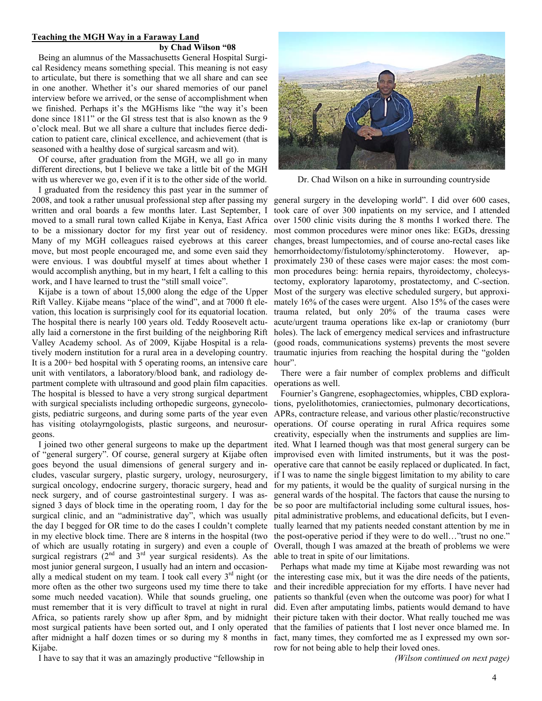#### **Teaching the MGH Way in a Faraway Land by Chad Wilson "08**

 Being an alumnus of the Massachusetts General Hospital Surgical Residency means something special. This meaning is not easy to articulate, but there is something that we all share and can see in one another. Whether it's our shared memories of our panel interview before we arrived, or the sense of accomplishment when we finished. Perhaps it's the MGHisms like "the way it's been done since 1811" or the GI stress test that is also known as the 9 o'clock meal. But we all share a culture that includes fierce dedication to patient care, clinical excellence, and achievement (that is seasoned with a healthy dose of surgical sarcasm and wit).

 Of course, after graduation from the MGH, we all go in many different directions, but I believe we take a little bit of the MGH with us wherever we go, even if it is to the other side of the world.

 I graduated from the residency this past year in the summer of 2008, and took a rather unusual professional step after passing my general surgery in the developing world". I did over 600 cases, written and oral boards a few months later. Last September, I to be a missionary doctor for my first year out of residency. Many of my MGH colleagues raised eyebrows at this career move, but most people encouraged me, and some even said they were envious. I was doubtful myself at times about whether I would accomplish anything, but in my heart, I felt a calling to this work, and I have learned to trust the "still small voice".

 Kijabe is a town of about 15,000 along the edge of the Upper Rift Valley. Kijabe means "place of the wind", and at 7000 ft elevation, this location is surprisingly cool for its equatorial location. The hospital there is nearly 100 years old. Teddy Roosevelt actually laid a cornerstone in the first building of the neighboring Rift Valley Academy school. As of 2009, Kijabe Hospital is a relatively modern institution for a rural area in a developing country. It is a 200+ bed hospital with 5 operating rooms, an intensive care unit with ventilators, a laboratory/blood bank, and radiology department complete with ultrasound and good plain film capacities. The hospital is blessed to have a very strong surgical department with surgical specialists including orthopedic surgeons, gynecologists, pediatric surgeons, and during some parts of the year even has visiting otolayrngologists, plastic surgeons, and neurosurgeons.

 I joined two other general surgeons to make up the department of "general surgery". Of course, general surgery at Kijabe often goes beyond the usual dimensions of general surgery and includes, vascular surgery, plastic surgery, urology, neurosurgery, surgical oncology, endocrine surgery, thoracic surgery, head and neck surgery, and of course gastrointestinal surgery. I was assigned 3 days of block time in the operating room, 1 day for the surgical clinic, and an "administrative day", which was usually of which are usually rotating in surgery) and even a couple of surgical registrars  $(2<sup>nd</sup>$  and  $3<sup>rd</sup>$  year surgical residents). As the most junior general surgeon, I usually had an intern and occasionally a medical student on my team. I took call every  $3<sup>rd</sup>$  night (or more often as the other two surgeons used my time there to take some much needed vacation). While that sounds grueling, one must remember that it is very difficult to travel at night in rural Africa, so patients rarely show up after 8pm, and by midnight most surgical patients have been sorted out, and I only operated after midnight a half dozen times or so during my 8 months in Kijabe.

I have to say that it was an amazingly productive "fellowship in



Dr. Chad Wilson on a hike in surrounding countryside

moved to a small rural town called Kijabe in Kenya, East Africa over 1500 clinic visits during the 8 months I worked there. The took care of over 300 inpatients on my service, and I attended most common procedures were minor ones like: EGDs, dressing changes, breast lumpectomies, and of course ano-rectal cases like hemorrhoidectomy/fistulotomy/sphincterotomy. However, approximately 230 of these cases were major cases: the most common procedures being: hernia repairs, thyroidectomy, cholecystectomy, exploratory laparotomy, prostatectomy, and C-section. Most of the surgery was elective scheduled surgery, but approximately 16% of the cases were urgent. Also 15% of the cases were trauma related, but only 20% of the trauma cases were acute/urgent trauma operations like ex-lap or craniotomy (burr holes). The lack of emergency medical services and infrastructure (good roads, communications systems) prevents the most severe traumatic injuries from reaching the hospital during the "golden hour".

> There were a fair number of complex problems and difficult operations as well.

the day I begged for OR time to do the cases I couldn't complete tually learned that my patients needed constant attention by me in in my elective block time. There are 8 interns in the hospital (two the post-operative period if they were to do well…"trust no one." Fournier's Gangrene, esophagectomies, whipples, CBD explorations, pyelolithotomies, craniectomies, pulmonary decortications, APRs, contracture release, and various other plastic/reconstructive operations. Of course operating in rural Africa requires some creativity, especially when the instruments and supplies are limited. What I learned though was that most general surgery can be improvised even with limited instruments, but it was the postoperative care that cannot be easily replaced or duplicated. In fact, if I was to name the single biggest limitation to my ability to care for my patients, it would be the quality of surgical nursing in the general wards of the hospital. The factors that cause the nursing to be so poor are multifactorial including some cultural issues, hospital administrative problems, and educational deficits, but I even-Overall, though I was amazed at the breath of problems we were able to treat in spite of our limitations.

> Perhaps what made my time at Kijabe most rewarding was not the interesting case mix, but it was the dire needs of the patients, and their incredible appreciation for my efforts. I have never had patients so thankful (even when the outcome was poor) for what I did. Even after amputating limbs, patients would demand to have their picture taken with their doctor. What really touched me was that the families of patients that I lost never once blamed me. In fact, many times, they comforted me as I expressed my own sorrow for not being able to help their loved ones.

> > *(Wilson continued on next page)*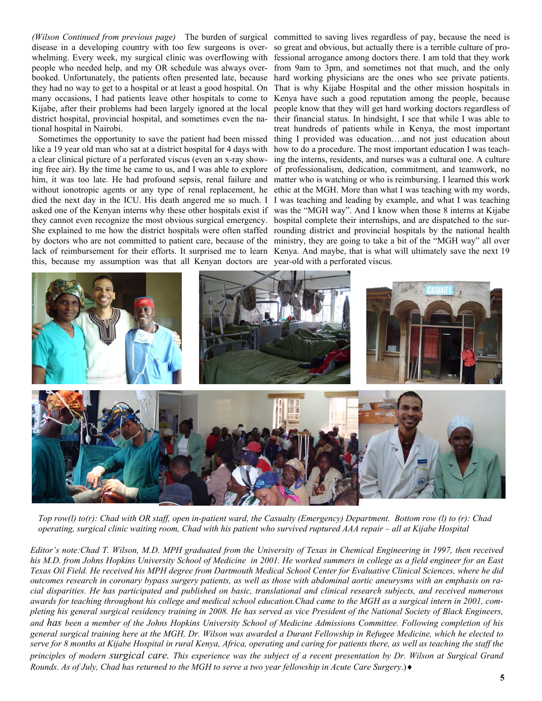*(Wilson Continued from previous page)* The burden of surgical committed to saving lives regardless of pay, because the need is disease in a developing country with too few surgeons is overwhelming. Every week, my surgical clinic was overflowing with people who needed help, and my OR schedule was always overbooked. Unfortunately, the patients often presented late, because they had no way to get to a hospital or at least a good hospital. On many occasions, I had patients leave other hospitals to come to Kijabe, after their problems had been largely ignored at the local district hospital, provincial hospital, and sometimes even the national hospital in Nairobi.

 Sometimes the opportunity to save the patient had been missed like a 19 year old man who sat at a district hospital for 4 days with a clear clinical picture of a perforated viscus (even an x-ray showing free air). By the time he came to us, and I was able to explore him, it was too late. He had profound sepsis, renal failure and without ionotropic agents or any type of renal replacement, he died the next day in the ICU. His death angered me so much. I asked one of the Kenyan interns why these other hospitals exist if they cannot even recognize the most obvious surgical emergency. this, because my assumption was that all Kenyan doctors are year-old with a perforated viscus.

She explained to me how the district hospitals were often staffed rounding district and provincial hospitals by the national health by doctors who are not committed to patient care, because of the ministry, they are going to take a bit of the "MGH way" all over lack of reimbursement for their efforts. It surprised me to learn Kenya. And maybe, that is what will ultimately save the next 19 so great and obvious, but actually there is a terrible culture of professional arrogance among doctors there. I am told that they work from 9am to 3pm, and sometimes not that much, and the only hard working physicians are the ones who see private patients. That is why Kijabe Hospital and the other mission hospitals in Kenya have such a good reputation among the people, because people know that they will get hard working doctors regardless of their financial status. In hindsight, I see that while I was able to treat hundreds of patients while in Kenya, the most important thing I provided was education….and not just education about how to do a procedure. The most important education I was teaching the interns, residents, and nurses was a cultural one. A culture of professionalism, dedication, commitment, and teamwork, no matter who is watching or who is reimbursing. I learned this work ethic at the MGH. More than what I was teaching with my words, I was teaching and leading by example, and what I was teaching was the "MGH way". And I know when those 8 interns at Kijabe hospital complete their internships, and are dispatched to the sur-



*Top row(l) to(r): Chad with OR staff, open in-patient ward, the Casualty (Emergency) Department. Bottom row (l) to (r): Chad operating, surgical clinic waiting room, Chad with his patient who survived ruptured AAA repair – all at Kijabe Hospital* 

*Editor's note:Chad T. Wilson, M.D. MPH graduated from the University of Texas in Chemical Engineering in 1997, then received his M.D. from Johns Hopkins University School of Medicine in 2001. He worked summers in college as a field engineer for an East Texas Oil Field. He received his MPH degree from Dartmouth Medical School Center for Evaluative Clinical Sciences, where he did outcomes research in coronary bypass surgery patients, as well as those with abdominal aortic aneurysms with an emphasis on racial disparities. He has participated and published on basic, translational and clinical research subjects, and received numerous awards for teaching throughout his college and medical school education.Chad came to the MGH as a surgical intern in 2001, completing his general surgical residency training in 2008. He has served as vice President of the National Society of Black Engineers, and has been a member of the Johns Hopkins University School of Medicine Admissions Committee. Following completion of his general surgical training here at the MGH, Dr. Wilson was awarded a Durant Fellowship in Refugee Medicine, which he elected to serve for 8 months at Kijabe Hospital in rural Kenya, Africa, operating and caring for patients there, as well as teaching the staff the principles of modern surgical care. This experience was the subject of a recent presentation by Dr. Wilson at Surgical Grand Rounds. As of July, Chad has returned to the MGH to serve a two year fellowship in Acute Care Surgery*.)♦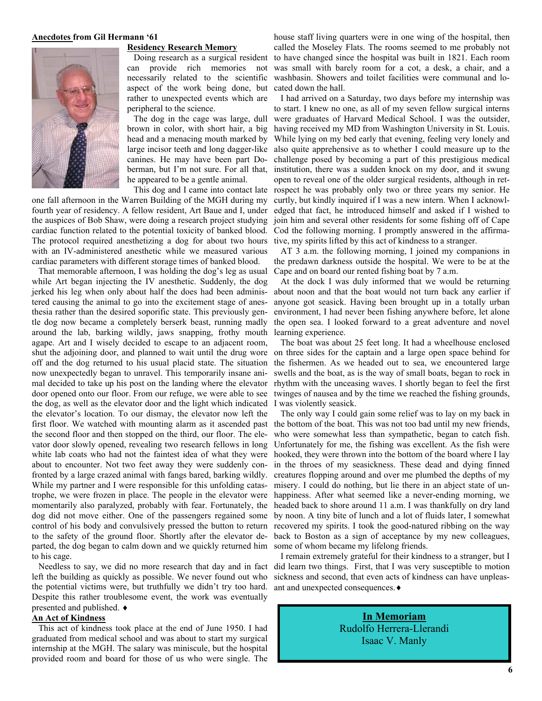#### **Anecdotes from Gil Hermann '61**

#### **Residency Research Memory**



Doing research as a surgical resident can provide rich memories not necessarily related to the scientific aspect of the work being done, but rather to unexpected events which are peripheral to the science.

 The dog in the cage was large, dull brown in color, with short hair, a big head and a menacing mouth marked by large incisor teeth and long dagger-like canines. He may have been part Doberman, but I'm not sure. For all that, he appeared to be a gentle animal.

 This dog and I came into contact late one fall afternoon in the Warren Building of the MGH during my fourth year of residency. A fellow resident, Art Baue and I, under the auspices of Bob Shaw, were doing a research project studying cardiac function related to the potential toxicity of banked blood. The protocol required anesthetizing a dog for about two hours with an IV-administered anesthetic while we measured various cardiac parameters with different storage times of banked blood.

 That memorable afternoon, I was holding the dog's leg as usual while Art began injecting the IV anesthetic. Suddenly, the dog jerked his leg when only about half the does had been administered causing the animal to go into the excitement stage of anesthesia rather than the desired soporific state. This previously gentle dog now became a completely berserk beast, running madly around the lab, barking wildly, jaws snapping, frothy mouth agape. Art and I wisely decided to escape to an adjacent room, shut the adjoining door, and planned to wait until the drug wore off and the dog returned to his usual placid state. The situation now unexpectedly began to unravel. This temporarily insane animal decided to take up his post on the landing where the elevator door opened onto our floor. From our refuge, we were able to see the dog, as well as the elevator door and the light which indicated I was violently seasick. the elevator's location. To our dismay, the elevator now left the first floor. We watched with mounting alarm as it ascended past the second floor and then stopped on the third, our floor. The elevator door slowly opened, revealing two research fellows in long white lab coats who had not the faintest idea of what they were about to encounter. Not two feet away they were suddenly confronted by a large crazed animal with fangs bared, barking wildly. While my partner and I were responsible for this unfolding catastrophe, we were frozen in place. The people in the elevator were to the safety of the ground floor. Shortly after the elevator departed, the dog began to calm down and we quickly returned him some of whom became my lifelong friends. to his cage.

 Needless to say, we did no more research that day and in fact left the building as quickly as possible. We never found out who the potential victims were, but truthfully we didn't try too hard. Despite this rather troublesome event, the work was eventually presented and published. ♦

## **An Act of Kindness**

 This act of kindness took place at the end of June 1950. I had graduated from medical school and was about to start my surgical internship at the MGH. The salary was miniscule, but the hospital provided room and board for those of us who were single. The

house staff living quarters were in one wing of the hospital, then called the Moseley Flats. The rooms seemed to me probably not to have changed since the hospital was built in 1821. Each room was small with barely room for a cot, a desk, a chair, and a washbasin. Showers and toilet facilities were communal and located down the hall.

 I had arrived on a Saturday, two days before my internship was to start. I knew no one, as all of my seven fellow surgical interns were graduates of Harvard Medical School. I was the outsider, having received my MD from Washington University in St. Louis. While lying on my bed early that evening, feeling very lonely and also quite apprehensive as to whether I could measure up to the challenge posed by becoming a part of this prestigious medical institution, there was a sudden knock on my door, and it swung open to reveal one of the older surgical residents, although in retrospect he was probably only two or three years my senior. He curtly, but kindly inquired if I was a new intern. When I acknowledged that fact, he introduced himself and asked if I wished to join him and several other residents for some fishing off of Cape Cod the following morning. I promptly answered in the affirmative, my spirits lifted by this act of kindness to a stranger.

 AT 3 a.m. the following morning, I joined my companions in the predawn darkness outside the hospital. We were to be at the Cape and on board our rented fishing boat by 7 a.m.

 At the dock I was duly informed that we would be returning about noon and that the boat would not turn back any earlier if anyone got seasick. Having been brought up in a totally urban environment, I had never been fishing anywhere before, let alone the open sea. I looked forward to a great adventure and novel learning experience.

 The boat was about 25 feet long. It had a wheelhouse enclosed on three sides for the captain and a large open space behind for the fishermen. As we headed out to sea, we encountered large swells and the boat, as is the way of small boats, began to rock in rhythm with the unceasing waves. I shortly began to feel the first twinges of nausea and by the time we reached the fishing grounds,

momentarily also paralyzed, probably with fear. Fortunately, the headed back to shore around 11 a.m. I was thankfully on dry land dog did not move either. One of the passengers regained some by noon. A tiny bite of lunch and a lot of fluids later, I somewhat control of his body and convulsively pressed the button to return recovered my spirits. I took the good-natured ribbing on the way The only way I could gain some relief was to lay on my back in the bottom of the boat. This was not too bad until my new friends, who were somewhat less than sympathetic, began to catch fish. Unfortunately for me, the fishing was excellent. As the fish were hooked, they were thrown into the bottom of the board where I lay in the throes of my seasickness. These dead and dying finned creatures flopping around and over me plumbed the depths of my misery. I could do nothing, but lie there in an abject state of unhappiness. After what seemed like a never-ending morning, we back to Boston as a sign of acceptance by my new colleagues,

> I remain extremely grateful for their kindness to a stranger, but I did learn two things. First, that I was very susceptible to motion sickness and second, that even acts of kindness can have unpleasant and unexpected consequences.♦

> > **In Memoriam** Rudolfo Herrera-Llerandi Isaac V. Manly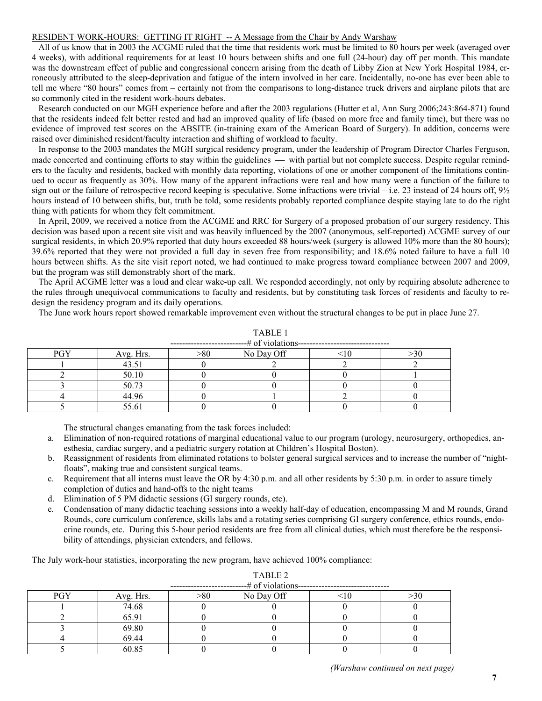## RESIDENT WORK-HOURS: GETTING IT RIGHT -- A Message from the Chair by Andy Warshaw

 All of us know that in 2003 the ACGME ruled that the time that residents work must be limited to 80 hours per week (averaged over 4 weeks), with additional requirements for at least 10 hours between shifts and one full (24-hour) day off per month. This mandate was the downstream effect of public and congressional concern arising from the death of Libby Zion at New York Hospital 1984, erroneously attributed to the sleep-deprivation and fatigue of the intern involved in her care. Incidentally, no-one has ever been able to tell me where "80 hours" comes from – certainly not from the comparisons to long-distance truck drivers and airplane pilots that are so commonly cited in the resident work-hours debates.

 Research conducted on our MGH experience before and after the 2003 regulations (Hutter et al, Ann Surg 2006;243:864-871) found that the residents indeed felt better rested and had an improved quality of life (based on more free and family time), but there was no evidence of improved test scores on the ABSITE (in-training exam of the American Board of Surgery). In addition, concerns were raised over diminished resident/faculty interaction and shifting of workload to faculty.

 In response to the 2003 mandates the MGH surgical residency program, under the leadership of Program Director Charles Ferguson, made concerted and continuing efforts to stay within the guidelines — with partial but not complete success. Despite regular reminders to the faculty and residents, backed with monthly data reporting, violations of one or another component of the limitations continued to occur as frequently as 30%. How many of the apparent infractions were real and how many were a function of the failure to sign out or the failure of retrospective record keeping is speculative. Some infractions were trivial – i.e. 23 instead of 24 hours off,  $9\frac{1}{2}$ hours instead of 10 between shifts, but, truth be told, some residents probably reported compliance despite staying late to do the right thing with patients for whom they felt commitment.

 In April, 2009, we received a notice from the ACGME and RRC for Surgery of a proposed probation of our surgery residency. This decision was based upon a recent site visit and was heavily influenced by the 2007 (anonymous, self-reported) ACGME survey of our surgical residents, in which 20.9% reported that duty hours exceeded 88 hours/week (surgery is allowed 10% more than the 80 hours); 39.6% reported that they were not provided a full day in seven free from responsibility; and 18.6% noted failure to have a full 10 hours between shifts. As the site visit report noted, we had continued to make progress toward compliance between 2007 and 2009, but the program was still demonstrably short of the mark.

 The April ACGME letter was a loud and clear wake-up call. We responded accordingly, not only by requiring absolute adherence to the rules through unequivocal communications to faculty and residents, but by constituting task forces of residents and faculty to redesign the residency program and its daily operations.

The June work hours report showed remarkable improvement even without the structural changes to be put in place June 27.

|            | ----# of violations-------------------------------<br>. _ _ _ _ _ _ _ _ _ _ _ _ _ _ _ _ |     |            |  |           |  |  |  |
|------------|-----------------------------------------------------------------------------------------|-----|------------|--|-----------|--|--|--|
| <b>PGY</b> | Avg. Hrs.                                                                               | >80 | No Day Off |  | $\geq 30$ |  |  |  |
|            | 43.51                                                                                   |     |            |  |           |  |  |  |
|            | 50.10                                                                                   |     |            |  |           |  |  |  |
|            | 50.73                                                                                   |     |            |  |           |  |  |  |
|            | 44.96                                                                                   |     |            |  |           |  |  |  |
|            | 55.61                                                                                   |     |            |  |           |  |  |  |

TABLE 1

The structural changes emanating from the task forces included:

- a. Elimination of non-required rotations of marginal educational value to our program (urology, neurosurgery, orthopedics, anesthesia, cardiac surgery, and a pediatric surgery rotation at Children's Hospital Boston).
- b. Reassignment of residents from eliminated rotations to bolster general surgical services and to increase the number of "nightfloats", making true and consistent surgical teams.
- c. Requirement that all interns must leave the OR by  $4:30$  p.m. and all other residents by  $5:30$  p.m. in order to assure timely completion of duties and hand-offs to the night teams
- d. Elimination of 5 PM didactic sessions (GI surgery rounds, etc).
- e. Condensation of many didactic teaching sessions into a weekly half-day of education, encompassing M and M rounds, Grand Rounds, core curriculum conference, skills labs and a rotating series comprising GI surgery conference, ethics rounds, endocrine rounds, etc. During this 5-hour period residents are free from all clinical duties, which must therefore be the responsibility of attendings, physician extenders, and fellows.

The July work-hour statistics, incorporating the new program, have achieved 100% compliance:

| -# of violations-- |           |             |            |  |     |  |  |  |  |
|--------------------|-----------|-------------|------------|--|-----|--|--|--|--|
| PGY                | Avg. Hrs. | $> \!\! 80$ | No Day Off |  | >30 |  |  |  |  |
|                    | 74.68     |             |            |  |     |  |  |  |  |
|                    | 65.91     |             |            |  |     |  |  |  |  |
|                    | 69.80     |             |            |  |     |  |  |  |  |
|                    | 69.44     |             |            |  |     |  |  |  |  |
|                    | 60.85     |             |            |  |     |  |  |  |  |

TABLE 2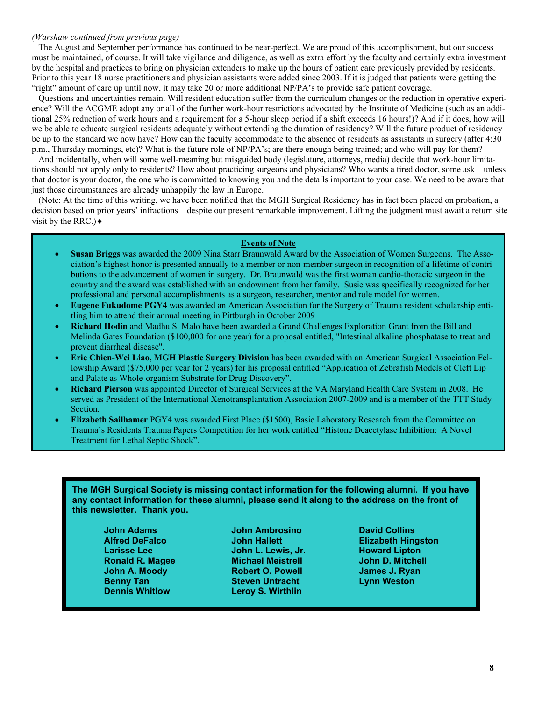## *(Warshaw continued from previous page)*

 The August and September performance has continued to be near-perfect. We are proud of this accomplishment, but our success must be maintained, of course. It will take vigilance and diligence, as well as extra effort by the faculty and certainly extra investment by the hospital and practices to bring on physician extenders to make up the hours of patient care previously provided by residents. Prior to this year 18 nurse practitioners and physician assistants were added since 2003. If it is judged that patients were getting the "right" amount of care up until now, it may take 20 or more additional NP/PA's to provide safe patient coverage.

 Questions and uncertainties remain. Will resident education suffer from the curriculum changes or the reduction in operative experience? Will the ACGME adopt any or all of the further work-hour restrictions advocated by the Institute of Medicine (such as an additional 25% reduction of work hours and a requirement for a 5-hour sleep period if a shift exceeds 16 hours!)? And if it does, how will we be able to educate surgical residents adequately without extending the duration of residency? Will the future product of residency be up to the standard we now have? How can the faculty accommodate to the absence of residents as assistants in surgery (after 4:30 p.m., Thursday mornings, etc)? What is the future role of NP/PA's; are there enough being trained; and who will pay for them?

 And incidentally, when will some well-meaning but misguided body (legislature, attorneys, media) decide that work-hour limitations should not apply only to residents? How about practicing surgeons and physicians? Who wants a tired doctor, some ask – unless that doctor is your doctor, the one who is committed to knowing you and the details important to your case. We need to be aware that just those circumstances are already unhappily the law in Europe.

 (Note: At the time of this writing, we have been notified that the MGH Surgical Residency has in fact been placed on probation, a decision based on prior years' infractions – despite our present remarkable improvement. Lifting the judgment must await a return site visit by the RRC.) $\triangleleft$ 

## **Events of Note**

- **Susan Briggs** was awarded the 2009 Nina Starr Braunwald Award by the Association of Women Surgeons. The Association's highest honor is presented annually to a member or non-member surgeon in recognition of a lifetime of contributions to the advancement of women in surgery. Dr. Braunwald was the first woman cardio-thoracic surgeon in the country and the award was established with an endowment from her family. Susie was specifically recognized for her professional and personal accomplishments as a surgeon, researcher, mentor and role model for women.
- **Eugene Fukudome PGY4** was awarded an American Association for the Surgery of Trauma resident scholarship entitling him to attend their annual meeting in Pittburgh in October 2009
- **Richard Hodin** and Madhu S. Malo have been awarded a Grand Challenges Exploration Grant from the Bill and Melinda Gates Foundation (\$100,000 for one year) for a proposal entitled, "Intestinal alkaline phosphatase to treat and prevent diarrheal disease".
- **Eric Chien-Wei Liao, MGH Plastic Surgery Division** has been awarded with an American Surgical Association Fellowship Award (\$75,000 per year for 2 years) for his proposal entitled "Application of Zebrafish Models of Cleft Lip and Palate as Whole-organism Substrate for Drug Discovery".
- **Richard Pierson** was appointed Director of Surgical Services at the VA Maryland Health Care System in 2008. He served as President of the International Xenotransplantation Association 2007-2009 and is a member of the TTT Study Section.
- **Elizabeth Sailhamer** PGY4 was awarded First Place (\$1500), Basic Laboratory Research from the Committee on Trauma's Residents Trauma Papers Competition for her work entitled "Histone Deacetylase Inhibition: A Novel Treatment for Lethal Septic Shock".

**The MGH Surgical Society is missing contact information for the following alumni. If you have any contact information for these alumni, please send it along to the address on the front of this newsletter. Thank you.** 

 **Dennis Whitlow Leroy S. Wirthlin** 

**John Adams Markow John Ambrosino David Collins Collins Larisse Lee Communist Communist Communist Communist Communist Communist Communist Communist Communist Communist Communist Communist Communist Communist Communist Communist Communist Communist Communist Communist Communis Ronald R. Magee Michael Meistrell Mension Annual Addam** John D. Mitchell  **John A. Moody Robert O. Powell <b>James J. Ryan Benny Tan Steven Untracht Lynn Weston Communist Communist Communist Communist Communist Communist Communist Communist Communist Communist Communist Communist Communist Communist Communist Communist Communist Communist Com** 

**Alfred DeFalco Communist School School School School Alfred DeFalco <b>Elizabeth Hingston**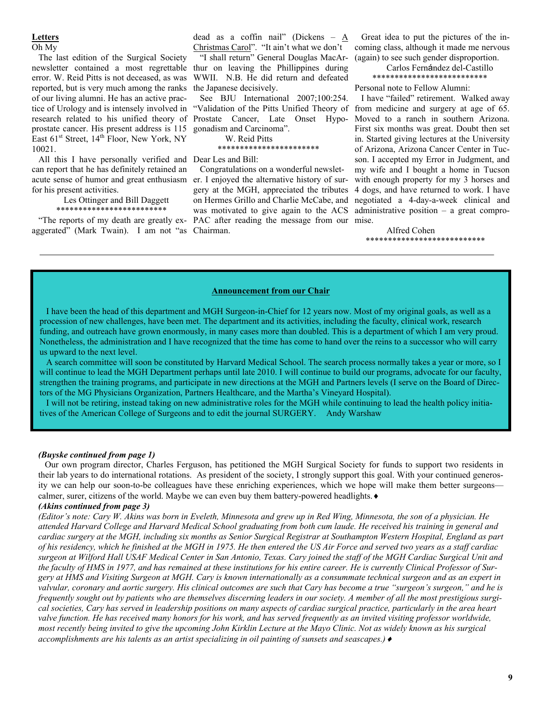## **Letters**

Oh My

 The last edition of the Surgical Society newsletter contained a most regrettable thur on leaving the Phillippines during error. W. Reid Pitts is not deceased, as was reported, but is very much among the ranks of our living alumni. He has an active practice of Urology and is intensely involved in research related to his unified theory of prostate cancer. His present address is 115 East  $61<sup>st</sup>$  Street,  $14<sup>th</sup>$  Floor, New York, NY 10021.

 All this I have personally verified and can report that he has definitely retained an acute sense of humor and great enthusiasm for his present activities.

### Les Ottinger and Bill Daggett \*\*\*\*\*\*\*\*\*\*\*\*\*\*\*\*\*\*\*\*\*\*\*\*\*

aggerated" (Mark Twain). I am not "as Chairman.

dead as a coffin nail" (Dickens –  $\underline{A}$ Christmas Carol". "It ain't what we don't

 "I shall return" General Douglas MacAr-WWII. N.B. He did return and defeated the Japanese decisively.

See BJU International 2007;100:254. Prostate Cancer, Late Onset Hypogonadism and Carcinoma".

W. Reid Pitts

#### \*\*\*\*\*\*\*\*\*\*\*\*\*\*\*\*\*\*\*\*\*\*\*

Dear Les and Bill:

 "The reports of my death are greatly ex-PAC after reading the message from our mise. Congratulations on a wonderful newsleter. I enjoyed the alternative history of surgery at the MGH, appreciated the tributes on Hermes Grillo and Charlie McCabe, and was motivated to give again to the ACS

 Great idea to put the pictures of the incoming class, although it made me nervous (again) to see such gender disproportion.

> Carlos Fernández del-Castillo \*\*\*\*\*\*\*\*\*\*\*\*\*\*\*\*\*\*\*\*\*\*\*\*\*\*

Personal note to Fellow Alumni:

"Validation of the Pitts Unified Theory of from medicine and surgery at age of 65. I have "failed" retirement. Walked away Moved to a ranch in southern Arizona. First six months was great. Doubt then set in. Started giving lectures at the University of Arizona, Arizona Cancer Center in Tucson. I accepted my Error in Judgment, and my wife and I bought a home in Tucson with enough property for my 3 horses and 4 dogs, and have returned to work. I have negotiated a 4-day-a-week clinical and administrative position – a great compro-

> Alfred Cohen \*\*\*\*\*\*\*\*\*\*\*\*\*\*\*\*\*\*\*\*\*\*\*\*\*\*\*

#### **Announcement from our Chair**

 I have been the head of this department and MGH Surgeon-in-Chief for 12 years now. Most of my original goals, as well as a procession of new challenges, have been met. The department and its activities, including the faculty, clinical work, research funding, and outreach have grown enormously, in many cases more than doubled. This is a department of which I am very proud. Nonetheless, the administration and I have recognized that the time has come to hand over the reins to a successor who will carry us upward to the next level.

 A search committee will soon be constituted by Harvard Medical School. The search process normally takes a year or more, so I will continue to lead the MGH Department perhaps until late 2010. I will continue to build our programs, advocate for our faculty, strengthen the training programs, and participate in new directions at the MGH and Partners levels (I serve on the Board of Directors of the MG Physicians Organization, Partners Healthcare, and the Martha's Vineyard Hospital).

 I will not be retiring, instead taking on new administrative roles for the MGH while continuing to lead the health policy initiatives of the American College of Surgeons and to edit the journal SURGERY. Andy Warshaw

#### *(Buyske continued from page 1)*

 Our own program director, Charles Ferguson, has petitioned the MGH Surgical Society for funds to support two residents in their lab years to do international rotations. As president of the society, I strongly support this goal. With your continued generosity we can help our soon-to-be colleagues have these enriching experiences, which we hope will make them better surgeons calmer, surer, citizens of the world. Maybe we can even buy them battery-powered headlights. ♦

## *(Akins continued from page 3)*

*(Editor's note: Cary W. Akins was born in Eveleth, Minnesota and grew up in Red Wing, Minnesota, the son of a physician. He attended Harvard College and Harvard Medical School graduating from both cum laude. He received his training in general and cardiac surgery at the MGH, including six months as Senior Surgical Registrar at Southampton Western Hospital, England as part of his residency, which he finished at the MGH in 1975. He then entered the US Air Force and served two years as a staff cardiac surgeon at Wilford Hall USAF Medical Center in San Antonio, Texas. Cary joined the staff of the MGH Cardiac Surgical Unit and the faculty of HMS in 1977, and has remained at these institutions for his entire career. He is currently Clinical Professor of Surgery at HMS and Visiting Surgeon at MGH. Cary is known internationally as a consummate technical surgeon and as an expert in valvular, coronary and aortic surgery. His clinical outcomes are such that Cary has become a true "surgeon's surgeon," and he is frequently sought out by patients who are themselves discerning leaders in our society. A member of all the most prestigious surgical societies, Cary has served in leadership positions on many aspects of cardiac surgical practice, particularly in the area heart valve function. He has received many honors for his work, and has served frequently as an invited visiting professor worldwide, most recently being invited to give the upcoming John Kirklin Lecture at the Mayo Clinic. Not as widely known as his surgical accomplishments are his talents as an artist specializing in oil painting of sunsets and seascapes.)*♦